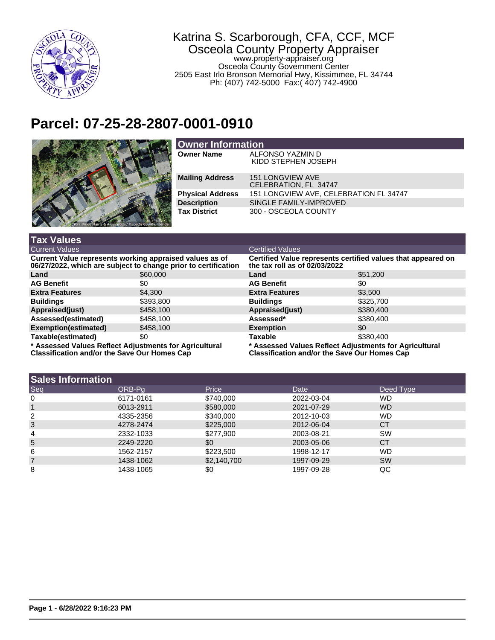

## Katrina S. Scarborough, CFA, CCF, MCF Osceola County Property Appraiser www.property-appraiser.org Osceola County Government Center 2505 East Irlo Bronson Memorial Hwy, Kissimmee, FL 34744 Ph: (407) 742-5000 Fax:( 407) 742-4900

## **Parcel: 07-25-28-2807-0001-0910**



| <b>Owner Information</b> |                                           |  |  |  |
|--------------------------|-------------------------------------------|--|--|--|
| <b>Owner Name</b>        | ALFONSO YAZMIN D<br>KIDD STEPHEN JOSEPH   |  |  |  |
| <b>Mailing Address</b>   | 151 LONGVIEW AVE<br>CELEBRATION, FL 34747 |  |  |  |
| <b>Physical Address</b>  | 151 LONGVIEW AVE, CELEBRATION FL 34747    |  |  |  |
| <b>Description</b>       | SINGLE FAMILY-IMPROVED                    |  |  |  |
| <b>Tax District</b>      | 300 - OSCEOLA COUNTY                      |  |  |  |

| <b>Tax Values</b>                                                                                                         |           |                                                                                                               |           |  |
|---------------------------------------------------------------------------------------------------------------------------|-----------|---------------------------------------------------------------------------------------------------------------|-----------|--|
| <b>Current Values</b>                                                                                                     |           | <b>Certified Values</b>                                                                                       |           |  |
| Current Value represents working appraised values as of<br>06/27/2022, which are subject to change prior to certification |           | Certified Value represents certified values that appeared on<br>the tax roll as of 02/03/2022                 |           |  |
| Land                                                                                                                      | \$60,000  | Land                                                                                                          | \$51,200  |  |
| <b>AG Benefit</b>                                                                                                         | \$0       | <b>AG Benefit</b>                                                                                             | \$0       |  |
| <b>Extra Features</b>                                                                                                     | \$4,300   | <b>Extra Features</b>                                                                                         | \$3.500   |  |
| <b>Buildings</b>                                                                                                          | \$393,800 | <b>Buildings</b>                                                                                              | \$325,700 |  |
| Appraised(just)                                                                                                           | \$458,100 | Appraised(just)                                                                                               | \$380,400 |  |
| Assessed(estimated)                                                                                                       | \$458,100 | Assessed*                                                                                                     | \$380,400 |  |
| Exemption(estimated)                                                                                                      | \$458,100 | <b>Exemption</b>                                                                                              | \$0       |  |
| Taxable(estimated)                                                                                                        | \$0       | Taxable                                                                                                       | \$380,400 |  |
| * Assessed Values Reflect Adjustments for Agricultural<br><b>Classification and/or the Save Our Homes Cap</b>             |           | * Assessed Values Reflect Adjustments for Agricultural<br><b>Classification and/or the Save Our Homes Cap</b> |           |  |

| <b>Sales Information</b> |           |             |            |           |
|--------------------------|-----------|-------------|------------|-----------|
| Seq                      | ORB-Pa    | Price       | Date       | Deed Type |
| 0                        | 6171-0161 | \$740,000   | 2022-03-04 | <b>WD</b> |
|                          | 6013-2911 | \$580,000   | 2021-07-29 | <b>WD</b> |
| 2                        | 4335-2356 | \$340,000   | 2012-10-03 | <b>WD</b> |
| 3                        | 4278-2474 | \$225,000   | 2012-06-04 | <b>CT</b> |
| 4                        | 2332-1033 | \$277,900   | 2003-08-21 | <b>SW</b> |
| 5                        | 2249-2220 | \$0         | 2003-05-06 | <b>CT</b> |
| 6                        | 1562-2157 | \$223,500   | 1998-12-17 | <b>WD</b> |
| 7                        | 1438-1062 | \$2,140,700 | 1997-09-29 | <b>SW</b> |
| 8                        | 1438-1065 | \$0         | 1997-09-28 | QC        |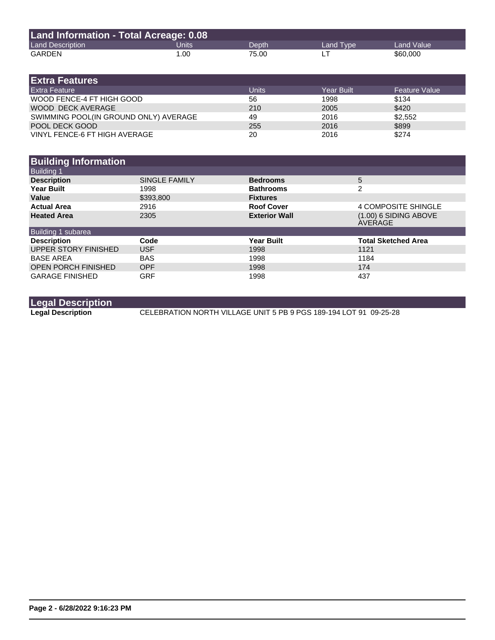| Land Information - Total Acreage: 0.08 |       |       |           |            |  |
|----------------------------------------|-------|-------|-----------|------------|--|
| <b>Land Description</b>                | Units | Depth | Land Type | Land Value |  |
| GARDEN                                 | 1.00  | 75.00 |           | \$60,000   |  |

| <b>Extra Features</b>                 |              |                   |                   |
|---------------------------------------|--------------|-------------------|-------------------|
| <b>Extra Feature</b>                  | <b>Units</b> | <b>Year Built</b> | l Feature Value ' |
| WOOD FENCE-4 FT HIGH GOOD             | 56           | 1998              | \$134             |
| WOOD DECK AVERAGE                     | 210          | 2005              | \$420             |
| SWIMMING POOL(IN GROUND ONLY) AVERAGE | 49           | 2016              | \$2.552           |
| POOL DECK GOOD                        | 255          | 2016              | \$899             |
| VINYL FENCE-6 FT HIGH AVERAGE         | 20           | 2016              | \$274             |

| <b>Building Information</b> |               |                      |                                    |
|-----------------------------|---------------|----------------------|------------------------------------|
| <b>Building 1</b>           |               |                      |                                    |
| <b>Description</b>          | SINGLE FAMILY | <b>Bedrooms</b>      | 5                                  |
| <b>Year Built</b>           | 1998          | <b>Bathrooms</b>     | $\mathfrak{p}$                     |
| Value                       | \$393,800     | <b>Fixtures</b>      |                                    |
| <b>Actual Area</b>          | 2916          | <b>Roof Cover</b>    | 4 COMPOSITE SHINGLE                |
| <b>Heated Area</b>          | 2305          | <b>Exterior Wall</b> | $(1.00)$ 6 SIDING ABOVE<br>AVERAGE |
| Building 1 subarea          |               |                      |                                    |
| <b>Description</b>          | Code          | <b>Year Built</b>    | <b>Total Sketched Area</b>         |
| UPPER STORY FINISHED        | <b>USF</b>    | 1998                 | 1121                               |
| <b>BASE AREA</b>            | <b>BAS</b>    | 1998                 | 1184                               |
| <b>OPEN PORCH FINISHED</b>  | <b>OPF</b>    | 1998                 | 174                                |
| <b>GARAGE FINISHED</b>      | <b>GRF</b>    | 1998                 | 437                                |

**Legal Description** CELEBRATION NORTH VILLAGE UNIT 5 PB 9 PGS 189-194 LOT 91 09-25-28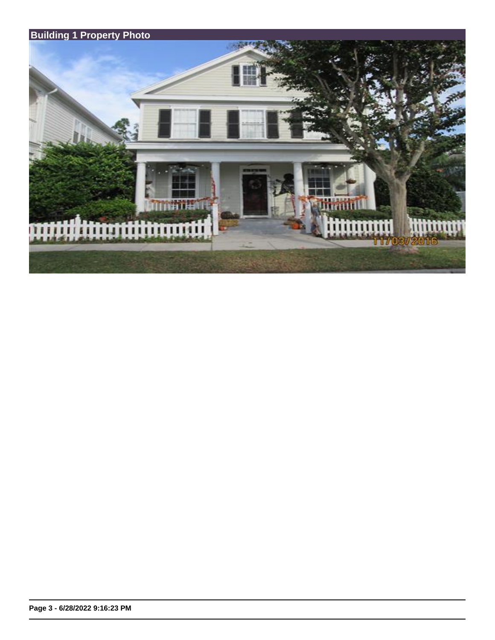